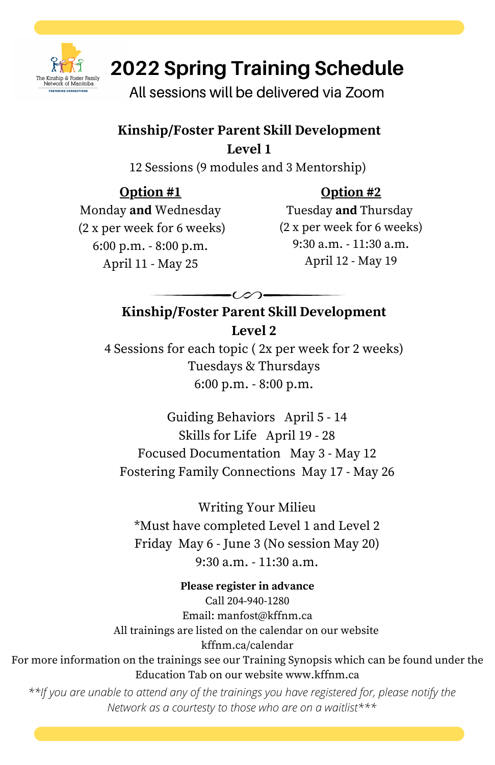

# **2022 Spring Training Schedule**

All sessions will be delivered via Zoom

#### **Kinship/Foster Parent Skill Development Level 1**

12 Sessions (9 modules and 3 Mentorship)

## **Option #1**

## **Option #2**

Monday **and** Wednesday (2 x per week for 6 weeks) 6:00 p.m. - 8:00 p.m. April 11 - May 25

Tuesday **and** Thursday (2 x per week for 6 weeks) 9:30 a.m. - 11:30 a.m. April 12 - May 19

## **Kinship/Foster Parent Skill Development Level 2**

4 Sessions for each topic ( 2x per week for 2 weeks) Tuesdays & Thursdays 6:00 p.m. - 8:00 p.m.

Guiding Behaviors April 5 - 14 Skills for Life April 19 - 28 Focused Documentation May 3 - May 12 Fostering Family Connections May 17 - May 26

Writing Your Milieu \*Must have completed Level 1 and Level 2 Friday May 6 - June 3 (No session May 20) 9:30 a.m. - 11:30 a.m.

**Please register in advance** Call 204-940-1280 Email: manfost@kffnm.ca All trainings are listed on the calendar on our website kffnm.ca/calendar For more information on the trainings see our Training Synopsis which can be found under the

Education Tab on our website www.kffnm.ca

*\*\*If you are unable to attend any of the trainings you have registered for, please notify the Network as a courtesty to those who are on a waitlist\*\*\**